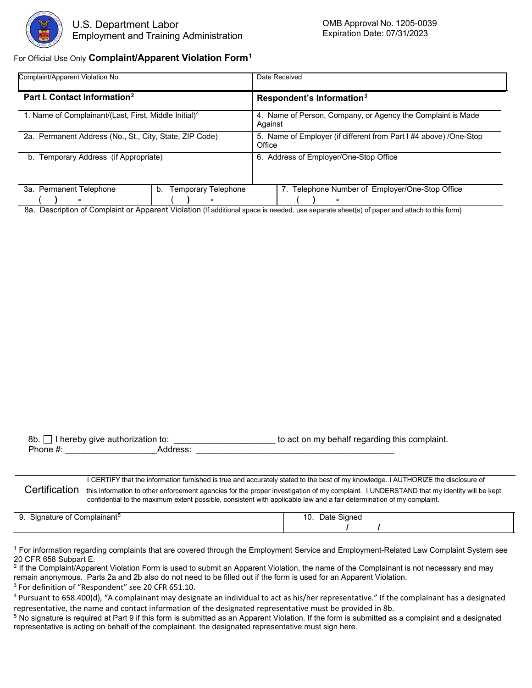

## For Official Use Only **Complaint/Apparent Violation Form[1](#page-0-0)**

| Complaint/Apparent Violation No.                                  |                                  | Date Received                                                               |  |  |  |
|-------------------------------------------------------------------|----------------------------------|-----------------------------------------------------------------------------|--|--|--|
| Part I. Contact Information <sup>2</sup>                          |                                  | Respondent's Information <sup>3</sup>                                       |  |  |  |
| 1. Name of Complainant/(Last, First, Middle Initial) <sup>4</sup> |                                  | 4. Name of Person, Company, or Agency the Complaint is Made<br>Against      |  |  |  |
| 2a. Permanent Address (No., St., City, State, ZIP Code)           |                                  | 5. Name of Employer (if different from Part I #4 above) /One-Stop<br>Office |  |  |  |
| Temporary Address (if Appropriate)<br>b.                          |                                  | Address of Employer/One-Stop Office<br>6.                                   |  |  |  |
| 3a. Permanent Telephone                                           | <b>Temporary Telephone</b><br>b. | 7. Telephone Number of Employer/One-Stop Office                             |  |  |  |
|                                                                   |                                  |                                                                             |  |  |  |

8a. Description of Complaint or Apparent Violation (If additional space is needed, use separate sheet(s) of paper and attach to this form)

| 8b. $\Box$ I hereby give authorization to: |          | to act on my behalf regarding this complaint. |
|--------------------------------------------|----------|-----------------------------------------------|
| Phone $#$ :                                | Address: |                                               |
|                                            |          |                                               |

I CERTIFY that the information furnished is true and accurately stated to the best of my knowledge. I AUTHORIZE the disclosure of Certification this information to other enforcement agencies for the proper investigation of my complaint. I UNDERSTAND that my identity will be kept confidential to the maximum extent possible, consistent with applicable law and a fair determination of my complaint.

9. Signature of Complainant<sup>[5](#page-0-4)</sup> 10. Date Signed  **/ /**

<span id="page-0-0"></span><sup>&</sup>lt;sup>1</sup> For information regarding complaints that are covered through the Employment Service and Employment-Related Law Complaint System see<br>20 CFR 658 Subpart E.

<span id="page-0-1"></span><sup>&</sup>lt;sup>2</sup> If the Complaint/Apparent Violation Form is used to submit an Apparent Violation, the name of the Complainant is not necessary and may remain anonymous. Parts 2a and 2b also do not need to be filled out if the form is used for an Apparent Violation.

<span id="page-0-2"></span><sup>&</sup>lt;sup>3</sup> For definition of "Respondent" see 20 CFR 651.10.

<span id="page-0-3"></span><sup>4</sup> Pursuant to 658.400(d), "A complainant may designate an individual to act as his/her representative." If the complainant has a designated representative, the name and contact information of the designated representative must be provided in 8b.

<span id="page-0-4"></span><sup>5</sup> No signature is required at Part 9 if this form is submitted as an Apparent Violation. If the form is submitted as a complaint and a designated representative is acting on behalf of the complainant, the designated representative must sign here.